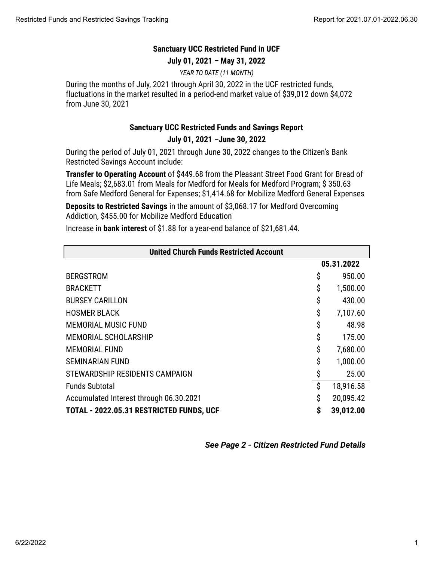## **Sanctuary UCC Restricted Fund in UCF**

**July 01, 2021 – May 31, 2022**

*YEAR TO DATE (11 MONTH)*

During the months of July, 2021 through April 30, 2022 in the UCF restricted funds, fluctuations in the market resulted in a period-end market value of \$39,012 down \$4,072 from June 30, 2021

## **Sanctuary UCC Restricted Funds and Savings Report**

## **July 01, 2021 –June 30, 2022**

During the period of July 01, 2021 through June 30, 2022 changes to the Citizen's Bank Restricted Savings Account include:

**Transfer to Operating Account** of \$449.68 from the Pleasant Street Food Grant for Bread of Life Meals; \$2,683.01 from Meals for Medford for Meals for Medford Program; \$ 350.63 from Safe Medford General for Expenses; \$1,414.68 for Mobilize Medford General Expenses

**Deposits to Restricted Savings** in the amount of \$3,068.17 for Medford Overcoming Addiction, \$455.00 for Mobilize Medford Education

Increase in **bank interest** of \$1.88 for a year-end balance of \$21,681.44.

| <b>United Church Funds Restricted Account</b> |            |           |  |
|-----------------------------------------------|------------|-----------|--|
|                                               | 05.31.2022 |           |  |
| <b>BERGSTROM</b>                              | \$         | 950.00    |  |
| <b>BRACKETT</b>                               | \$         | 1,500.00  |  |
| <b>BURSEY CARILLON</b>                        | \$         | 430.00    |  |
| <b>HOSMER BLACK</b>                           | \$         | 7,107.60  |  |
| <b>MEMORIAL MUSIC FUND</b>                    | \$         | 48.98     |  |
| <b>MEMORIAL SCHOLARSHIP</b>                   | \$         | 175.00    |  |
| <b>MEMORIAL FUND</b>                          | \$         | 7,680.00  |  |
| <b>SEMINARIAN FUND</b>                        | \$         | 1,000.00  |  |
| STEWARDSHIP RESIDENTS CAMPAIGN                | \$         | 25.00     |  |
| <b>Funds Subtotal</b>                         | \$         | 18,916.58 |  |
| Accumulated Interest through 06.30.2021       | \$         | 20,095.42 |  |
| TOTAL - 2022.05.31 RESTRICTED FUNDS, UCF      | \$         | 39,012.00 |  |

*See Page 2 - Citizen Restricted Fund Details*